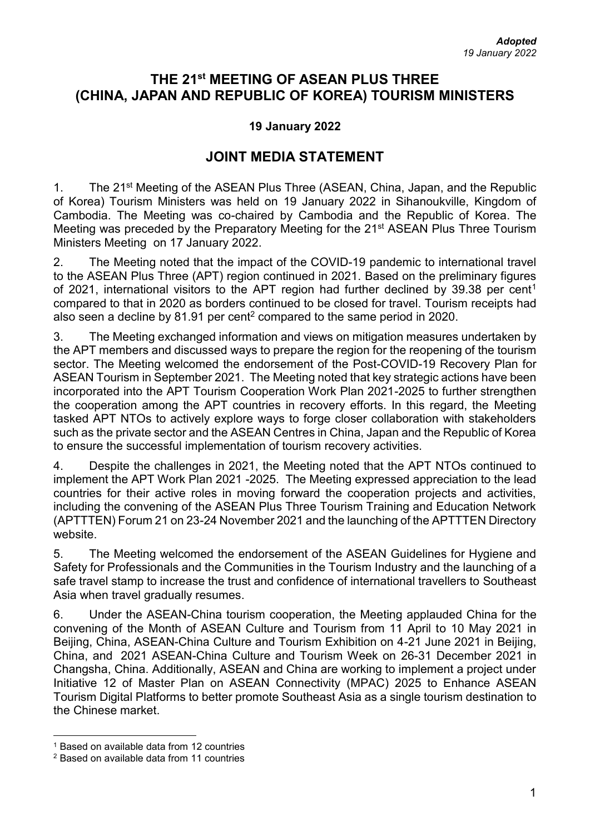## **THE 21st MEETING OF ASEAN PLUS THREE (CHINA, JAPAN AND REPUBLIC OF KOREA) TOURISM MINISTERS**

## **19 January 2022**

## **JOINT MEDIA STATEMENT**

1. The 21<sup>st</sup> Meeting of the ASEAN Plus Three (ASEAN, China, Japan, and the Republic of Korea) Tourism Ministers was held on 19 January 2022 in Sihanoukville, Kingdom of Cambodia. The Meeting was co-chaired by Cambodia and the Republic of Korea. The Meeting was preceded by the Preparatory Meeting for the 21st ASEAN Plus Three Tourism Ministers Meeting on 17 January 2022.

2. The Meeting noted that the impact of the COVID-19 pandemic to international travel to the ASEAN Plus Three (APT) region continued in 2021. Based on the preliminary figures of 2021, international visitors to the APT region had further declined by 39.38 per cent<sup>1</sup> compared to that in 2020 as borders continued to be closed for travel. Tourism receipts had also seen a decline by 81.91 per cent<sup>2</sup> compared to the same period in 2020.

3. The Meeting exchanged information and views on mitigation measures undertaken by the APT members and discussed ways to prepare the region for the reopening of the tourism sector. The Meeting welcomed the endorsement of the Post-COVID-19 Recovery Plan for ASEAN Tourism in September 2021. The Meeting noted that key strategic actions have been incorporated into the APT Tourism Cooperation Work Plan 2021-2025 to further strengthen the cooperation among the APT countries in recovery efforts. In this regard, the Meeting tasked APT NTOs to actively explore ways to forge closer collaboration with stakeholders such as the private sector and the ASEAN Centres in China, Japan and the Republic of Korea to ensure the successful implementation of tourism recovery activities.

4. Despite the challenges in 2021, the Meeting noted that the APT NTOs continued to implement the APT Work Plan 2021 -2025. The Meeting expressed appreciation to the lead countries for their active roles in moving forward the cooperation projects and activities, including the convening of the ASEAN Plus Three Tourism Training and Education Network (APTTTEN) Forum 21 on 23-24 November 2021 and the launching of the APTTTEN Directory website.

5. The Meeting welcomed the endorsement of the ASEAN Guidelines for Hygiene and Safety for Professionals and the Communities in the Tourism Industry and the launching of a safe travel stamp to increase the trust and confidence of international travellers to Southeast Asia when travel gradually resumes.

6. Under the ASEAN-China tourism cooperation, the Meeting applauded China for the convening of the Month of ASEAN Culture and Tourism from 11 April to 10 May 2021 in Beijing, China, ASEAN-China Culture and Tourism Exhibition on 4-21 June 2021 in Beijing, China, and 2021 ASEAN-China Culture and Tourism Week on 26-31 December 2021 in Changsha, China. Additionally, ASEAN and China are working to implement a project under Initiative 12 of Master Plan on ASEAN Connectivity (MPAC) 2025 to Enhance ASEAN Tourism Digital Platforms to better promote Southeast Asia as a single tourism destination to the Chinese market.

<u>.</u>

<sup>1</sup> Based on available data from 12 countries

<sup>2</sup> Based on available data from 11 countries